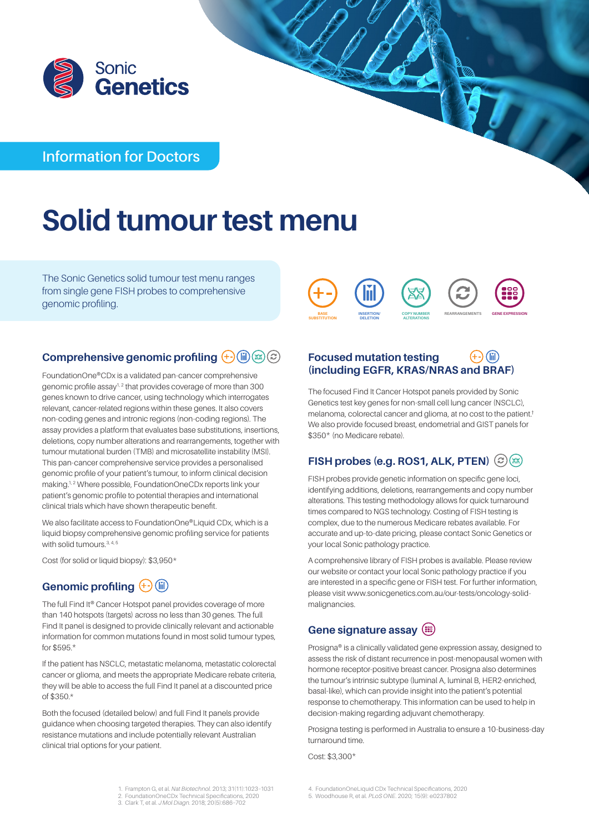

# **Information for Doctors**

# **Solid tumour test menu**

The Sonic Genetics solid tumour test menu ranges from single gene FISH probes to comprehensive genomic profiling.



## **Comprehensive genomic profiling**  $\overline{+}$  **(iii) (x) (c)**

FoundationOne®CDx is a validated pan-cancer comprehensive genomic profile assay1, 2 that provides coverage of more than 300 genes known to drive cancer, using technology which interrogates relevant, cancer-related regions within these genes. It also covers non-coding genes and intronic regions (non-coding regions). The assay provides a platform that evaluates base substitutions, insertions, deletions, copy number alterations and rearrangements, together with tumour mutational burden (TMB) and microsatellite instability (MSI). This pan-cancer comprehensive service provides a personalised genomic profile of your patient's tumour, to inform clinical decision making.<sup>1, 2</sup> Where possible, FoundationOneCDx reports link your patient's genomic profile to potential therapies and international clinical trials which have shown therapeutic benefit.

We also facilitate access to FoundationOne®Liquid CDx, which is a liquid biopsy comprehensive genomic profiling service for patients with solid tumours.<sup>3, 4, 5</sup>

Cost (for solid or liquid biopsy): \$3,950\*

# Genomic profiling  $\overline{)}$  (ii)

The full Find It® Cancer Hotspot panel provides coverage of more than 140 hotspots (targets) across no less than 30 genes. The full Find It panel is designed to provide clinically relevant and actionable information for common mutations found in most solid tumour types, for \$595.\*

If the patient has NSCLC, metastatic melanoma, metastatic colorectal cancer or glioma, and meets the appropriate Medicare rebate criteria, they will be able to access the full Find It panel at a discounted price of \$350.\*

Both the focused (detailed below) and full Find It panels provide guidance when choosing targeted therapies. They can also identify resistance mutations and include potentially relevant Australian clinical trial options for your patient.

#### $(i)$ **Focused mutation testing (including EGFR, KRAS/NRAS and BRAF)**

The focused Find It Cancer Hotspot panels provided by Sonic Genetics test key genes for non-small cell lung cancer (NSCLC), melanoma, colorectal cancer and glioma, at no cost to the patient.† We also provide focused breast, endometrial and GIST panels for \$350\* (no Medicare rebate).

## **FISH probes (e.g. ROS1, ALK, PTEN)**  $\bigcirc$  (**Ex)**

FISH probes provide genetic information on specific gene loci, identifying additions, deletions, rearrangements and copy number alterations. This testing methodology allows for quick turnaround times compared to NGS technology. Costing of FISH testing is complex, due to the numerous Medicare rebates available. For accurate and up-to-date pricing, please contact Sonic Genetics or your local Sonic pathology practice.

A comprehensive library of FISH probes is available. Please review our website or contact your local Sonic pathology practice if you are interested in a specific gene or FISH test. For further information, please visit [www.sonicgenetics.com.au/our-tests/oncology-solid](http://www.sonicgenetics.com.au/our-tests/oncology-solid-malignancies)[malignancies.](http://www.sonicgenetics.com.au/our-tests/oncology-solid-malignancies)

## **Gene signature assay**

Prosigna® is a clinically validated gene expression assay, designed to assess the risk of distant recurrence in post-menopausal women with hormone receptor-positive breast cancer. Prosigna also determines the tumour's intrinsic subtype (luminal A, luminal B, HER2-enriched, basal-like), which can provide insight into the patient's potential response to chemotherapy. This information can be used to help in decision-making regarding adjuvant chemotherapy.

Prosigna testing is performed in Australia to ensure a 10-business-day turnaround time.

Cost: \$3,300\*

- 1. Frampton G, et al. *Nat Biotechnol*. 2013; 31(11):1023–1031 2. FoundationOneCDx Technical Specifications, 2020 3. Clark T, et al. *J Mol Diagn*. 2018; 20(5):686–702
- 4. FoundationOneLiquid CDx Technical Specifications, 2020
- 5. Woodhouse R, et al. *PLoS ONE*. 2020; 15(9): e0237802